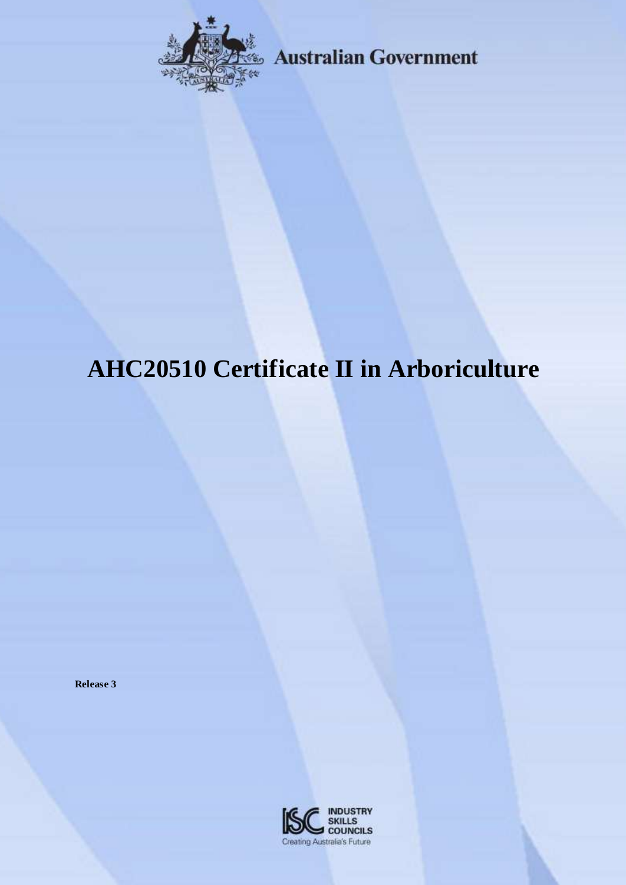

Australian Government

# **AHC20510 Certificate II in Arboriculture**

**Release 3**

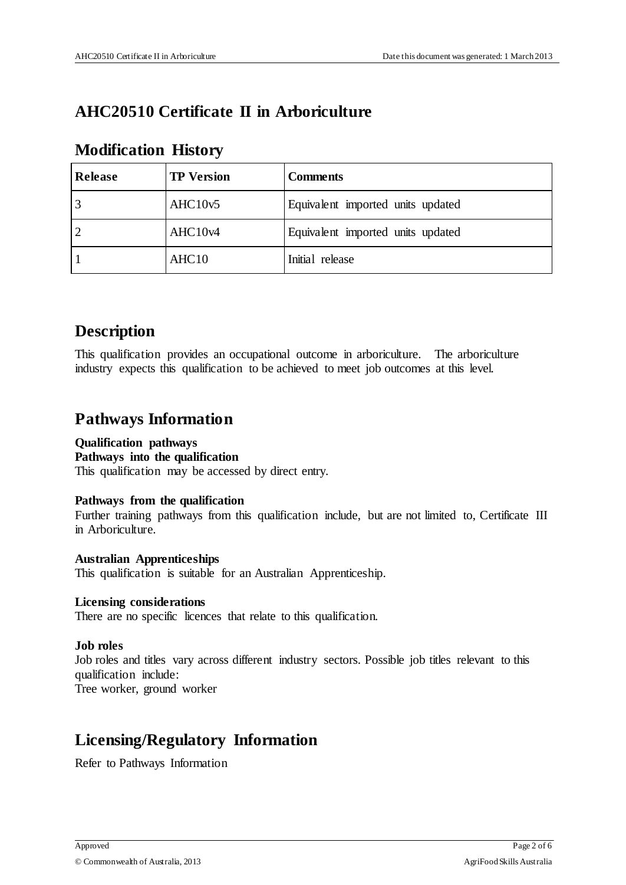# **AHC20510 Certificate II in Arboriculture**

# **Modification History**

| Release        | <b>TP</b> Version | <b>Comments</b>                   |
|----------------|-------------------|-----------------------------------|
| $\overline{3}$ | AHC10v5           | Equivalent imported units updated |
| $\overline{2}$ | AHC10v4           | Equivalent imported units updated |
|                | AHC <sub>10</sub> | Initial release                   |

# **Description**

This qualification provides an occupational outcome in arboriculture. The arboriculture industry expects this qualification to be achieved to meet job outcomes at this level.

# **Pathways Information**

## **Qualification pathways**

#### **Pathways into the qualification**

This qualification may be accessed by direct entry.

## **Pathways from the qualification**

Further training pathways from this qualification include, but are not limited to, Certificate III in Arboriculture.

## **Australian Apprenticeships**

This qualification is suitable for an Australian Apprenticeship.

## **Licensing considerations**

There are no specific licences that relate to this qualification.

## **Job roles**

Job roles and titles vary across different industry sectors. Possible job titles relevant to this qualification include:

Tree worker, ground worker

# **Licensing/Regulatory Information**

Refer to Pathways Information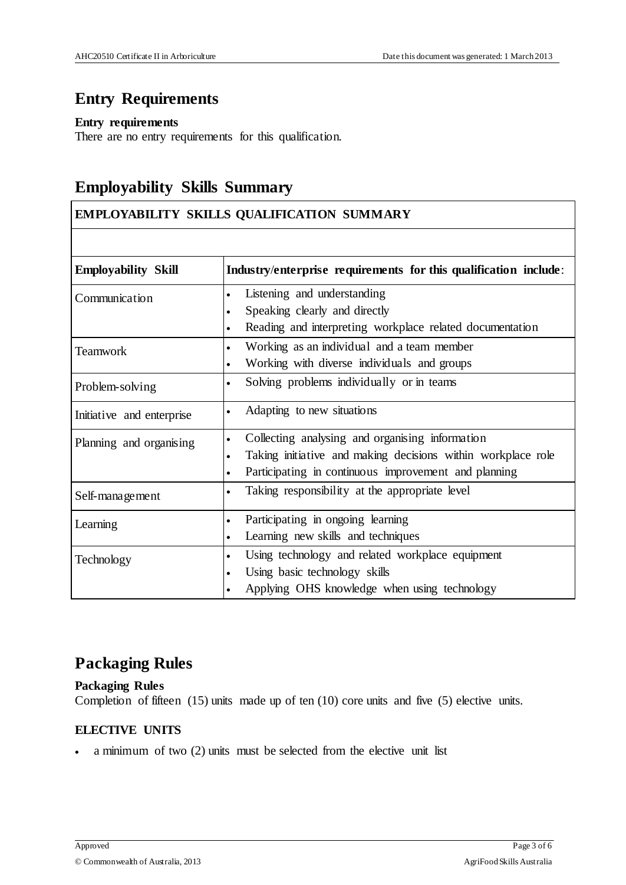# **Entry Requirements**

#### **Entry requirements**

There are no entry requirements for this qualification.

# **Employability Skills Summary**

# **EMPLOYABILITY SKILLS QUALIFICATION SUMMARY**

| <b>Employability Skill</b> | Industry/enterprise requirements for this qualification include:          |
|----------------------------|---------------------------------------------------------------------------|
| Communication              | Listening and understanding<br>$\bullet$                                  |
|                            | Speaking clearly and directly                                             |
|                            | Reading and interpreting workplace related documentation<br>$\bullet$     |
| <b>Teamwork</b>            | Working as an individual and a team member<br>$\bullet$                   |
|                            | Working with diverse individuals and groups                               |
| Problem-solving            | Solving problems individually or in teams<br>$\bullet$                    |
| Initiative and enterprise  | Adapting to new situations<br>$\bullet$                                   |
| Planning and organising    | Collecting analysing and organising information<br>$\bullet$              |
|                            | Taking initiative and making decisions within workplace role<br>$\bullet$ |
|                            | Participating in continuous improvement and planning<br>$\bullet$         |
| Self-management            | Taking responsibility at the appropriate level<br>$\bullet$               |
| Learning                   | Participating in ongoing learning<br>$\bullet$                            |
|                            | Learning new skills and techniques<br>$\bullet$                           |
| Technology                 | Using technology and related workplace equipment<br>$\bullet$             |
|                            | Using basic technology skills<br>$\bullet$                                |
|                            | Applying OHS knowledge when using technology                              |

# **Packaging Rules**

**Packaging Rules** Completion of fifteen (15) units made up of ten (10) core units and five (5) elective units.

## **ELECTIVE UNITS**

a minimum of two (2) units must be selected from the elective unit list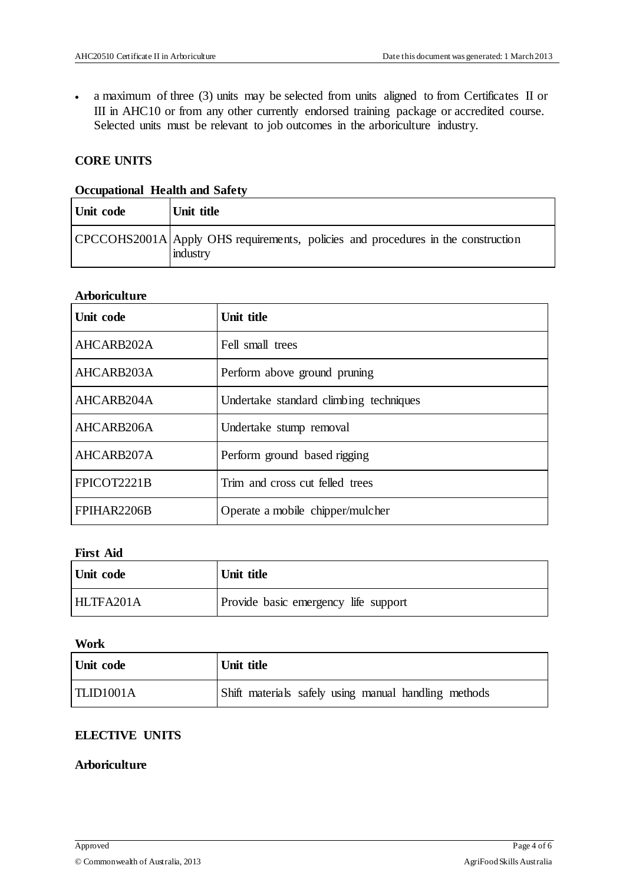a maximum of three (3) units may be selected from units aligned to from Certificates II or III in AHC10 or from any other currently endorsed training package or accredited course. Selected units must be relevant to job outcomes in the arboriculture industry.

# **CORE UNITS**

#### **Occupational Health and Safety**

| Unit code | Unit title                                                                                   |
|-----------|----------------------------------------------------------------------------------------------|
|           | CPCCOHS2001A Apply OHS requirements, policies and procedures in the construction<br>industry |

#### **Arboriculture**

| Unit code   | Unit title                             |
|-------------|----------------------------------------|
| AHCARB202A  | Fell small trees                       |
| AHCARB203A  | Perform above ground pruning           |
| AHCARB204A  | Undertake standard climbing techniques |
| AHCARB206A  | Undertake stump removal                |
| AHCARB207A  | Perform ground based rigging           |
| FPICOT2221B | Trim and cross cut felled trees        |
| FPIHAR2206B | Operate a mobile chipper/mulcher       |

#### **First Aid**

| Unit code | Unit title                           |
|-----------|--------------------------------------|
| HLTFA201A | Provide basic emergency life support |

#### **Work**

| Unit code | Unit title                                           |
|-----------|------------------------------------------------------|
| TLID1001A | Shift materials safely using manual handling methods |

## **ELECTIVE UNITS**

#### **Arboriculture**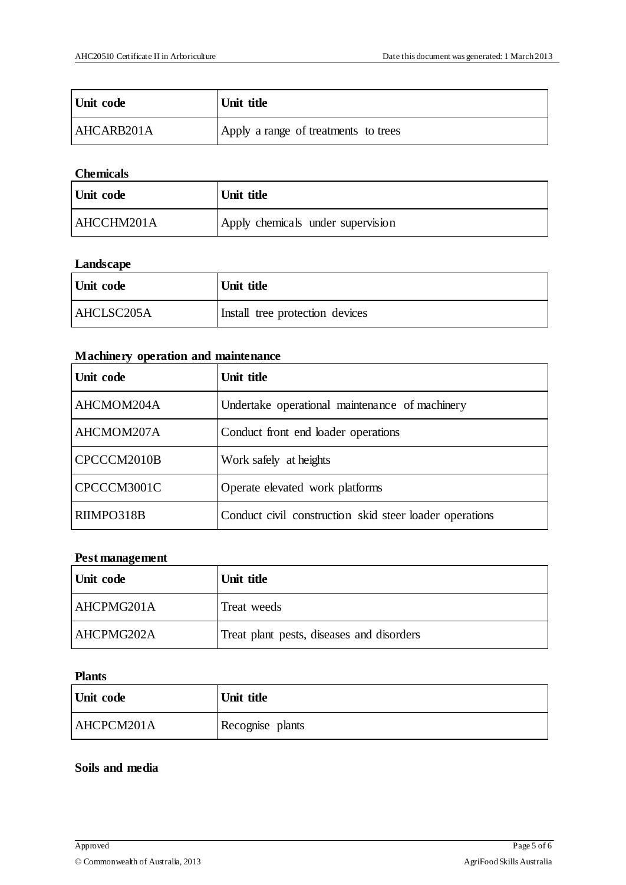| Unit code  | Unit title                           |
|------------|--------------------------------------|
| AHCARB201A | Apply a range of treatments to trees |

#### **Chemicals**

| Unit code  | Unit title                        |
|------------|-----------------------------------|
| AHCCHM201A | Apply chemicals under supervision |

# **Landscape**

| Unit code  | Unit title                      |
|------------|---------------------------------|
| AHCLSC205A | Install tree protection devices |

#### **Machinery operation and maintenance**

| Unit code   | Unit title                                              |
|-------------|---------------------------------------------------------|
| AHCMOM204A  | Undertake operational maintenance of machinery          |
| AHCMOM207A  | Conduct front end loader operations                     |
| CPCCCM2010B | Work safely at heights                                  |
| CPCCCM3001C | Operate elevated work platforms                         |
| RIIMPO318B  | Conduct civil construction skid steer loader operations |

# **Pest management**

| Unit code  | Unit title                                |
|------------|-------------------------------------------|
| AHCPMG201A | Treat weeds                               |
| AHCPMG202A | Treat plant pests, diseases and disorders |

#### **Plants**

| Unit code  | Unit title       |
|------------|------------------|
| AHCPCM201A | Recognise plants |

#### **Soils and media**